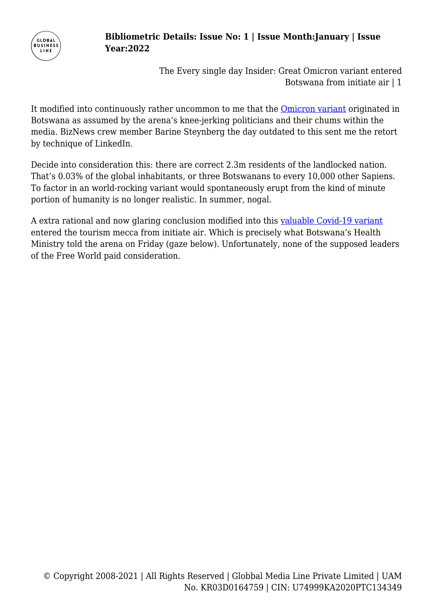

## **Bibliometric Details: Issue No: 1 | Issue Month:January | Issue Year:2022**

The Every single day Insider: Great Omicron variant entered Botswana from initiate air | 1

It modified into continuously rather uncommon to me that the [Omicron variant](https://www.dw.com/en/covid-what-we-know-about-the-omicron-variant/a-59948143) originated in Botswana as assumed by the arena's knee-jerking politicians and their chums within the media. BizNews crew member Barine Steynberg the day outdated to this sent me the retort by technique of LinkedIn.

Decide into consideration this: there are correct 2.3m residents of the landlocked nation. That's 0.03% of the global inhabitants, or three Botswanans to every 10,000 other Sapiens. To factor in an world-rocking variant would spontaneously erupt from the kind of minute portion of humanity is no longer realistic. In summer, nogal.

A extra rational and now glaring conclusion modified into this [valuable Covid-19 variant](https://www.biznews.com/health/2021/11/29/omicron-covid-new-variant) entered the tourism mecca from initiate air. Which is precisely what Botswana's Health Ministry told the arena on Friday (gaze below). Unfortunately, none of the supposed leaders of the Free World paid consideration.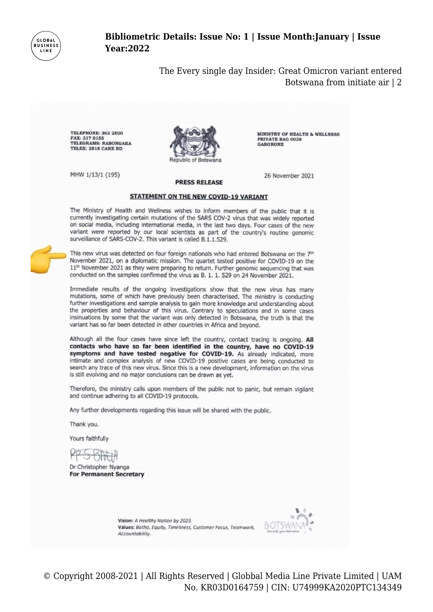

### Bibliometric Details: Issue No: 1 | Issue Month: January | Issue **Year:2022**

The Every single day Insider: Great Omicron variant entered Botswana from initiate air | 2

PRIVATE BAG 0038

**GABORONE** 

**TELEPHONE: 363 2500** FAX: 317 0155 TELEGRAMS: RABONGAKA TELEX: 2818 CARE BD



MHW 1/13/1 (195)

26 November 2021

**MINISTRY OF HEALTH & WELLNESS** 

#### **STATEMENT ON THE NEW COVID-19 VARIANT**

**PRESS RELEASE** 

The Ministry of Health and Wellness wishes to inform members of the public that it is currently investigating certain mutations of the SARS COV-2 virus that was widely reported on social media, including international media, in the last two days. Four cases of the new variant were reported by our local scientists as part of the country's routine genomic surveillance of SARS-COV-2. This variant is called B.1.1.529.



This new virus was detected on four foreign nationals who had entered Botswana on the 7th November 2021, on a diplomatic mission. The quartet tested positive for COVID-19 on the 11<sup>th</sup> November 2021 as they were preparing to return. Further genomic sequencing that was conducted on the samples confirmed the virus as B. 1. 1. 529 on 24 November 2021.

Immediate results of the ongoing investigations show that the new virus has many mutations, some of which have previously been characterised. The ministry is conducting further investigations and sample analysis to gain more knowledge and understanding about the properties and behaviour of this virus. Contrary to speculations and in some cases insinuations by some that the variant was only detected in Botswana, the truth is that the variant has so far been detected in other countries in Africa and beyond.

Although all the four cases have since left the country, contact tracing is ongoing. All contacts who have so far been identified in the country, have no COVID-19 symptoms and have tested negative for COVID-19. As already indicated, more intimate and complex analysis of new COVID-19 positive cases are being conducted to search any trace of this new virus. Since this is a new development, information on the virus is still evolving and no major conclusions can be drawn as yet.

Therefore, the ministry calls upon members of the public not to panic, but remain vigilant and continue adhering to all COVID-19 protocols.

Any further developments regarding this issue will be shared with the public.

Thank you.

Yours faithfully

Dr Christopher Nyanga **For Permanent Secretary** 

Vision: A Healthy Nation by 2023. Values: Botho, Equity, Timeliness, Customer Focus, Teamwork, Accountability



© Copyright 2008-2021 | All Rights Reserved | Globbal Media Line Private Limited | UAM No. KR03D0164759 | CIN: U74999KA2020PTC134349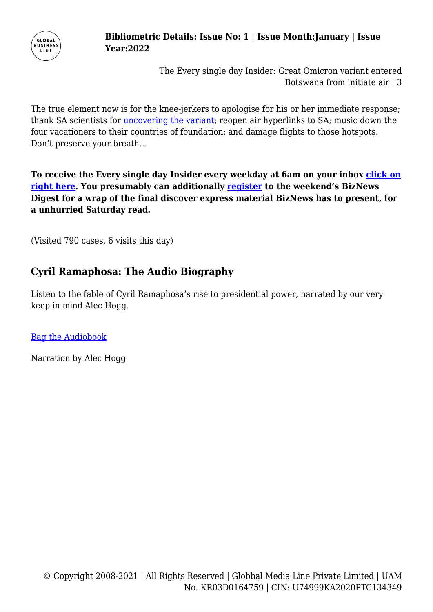

## **Bibliometric Details: Issue No: 1 | Issue Month:January | Issue Year:2022**

The Every single day Insider: Great Omicron variant entered Botswana from initiate air | 3

The true element now is for the knee-jerkers to apologise for his or her immediate response; thank SA scientists for [uncovering the variant;](https://www.bbc.com/news/world-59442129) reopen air hyperlinks to SA; music down the four vacationers to their countries of foundation; and damage flights to those hotspots. Don't preserve your breath…

**To receive the Every single day Insider every weekday at 6am on your inbox [click on](https://www.biznews.com/daily-newsletter) [right here.](https://www.biznews.com/daily-newsletter) You presumably can additionally [register](https://biznews.us5.list-manage.com/subscribe/post?u=1eb94755813093b86cb8f73be&id=398d7b1149) to the weekend's BizNews Digest for a wrap of the final discover express material BizNews has to present, for a unhurried Saturday read.**

(Visited 790 cases, 6 visits this day)

# **Cyril Ramaphosa: The Audio Biography**

Listen to the fable of Cyril Ramaphosa's rise to presidential power, narrated by our very keep in mind Alec Hogg.

**[Bag the Audiobook](https://gum.co/ramaphosa-biography-audio)** 

Narration by Alec Hogg